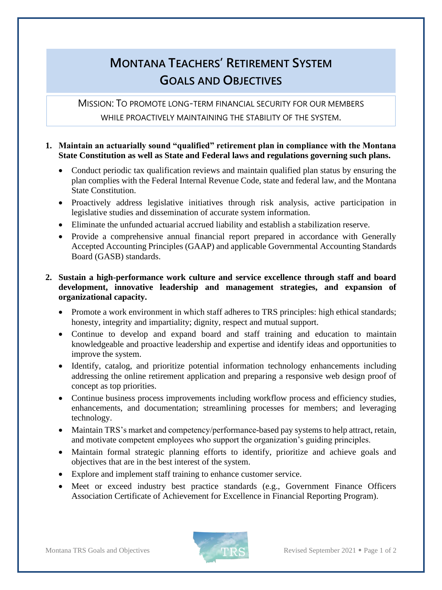## **MONTANA TEACHERS' RETIREMENT SYSTEM GOALS AND OBJECTIVES**

MISSION: TO PROMOTE LONG-TERM FINANCIAL SECURITY FOR OUR MEMBERS WHILE PROACTIVELY MAINTAINING THE STABILITY OF THE SYSTEM.

## **1. Maintain an actuarially sound "qualified" retirement plan in compliance with the Montana State Constitution as well as State and Federal laws and regulations governing such plans.**

- Conduct periodic tax qualification reviews and maintain qualified plan status by ensuring the plan complies with the Federal Internal Revenue Code, state and federal law, and the Montana State Constitution.
- Proactively address legislative initiatives through risk analysis, active participation in legislative studies and dissemination of accurate system information.
- Eliminate the unfunded actuarial accrued liability and establish a stabilization reserve.
- Provide a comprehensive annual financial report prepared in accordance with Generally Accepted Accounting Principles (GAAP) and applicable Governmental Accounting Standards Board (GASB) standards.

## **2. Sustain a high-performance work culture and service excellence through staff and board development, innovative leadership and management strategies, and expansion of organizational capacity.**

- Promote a work environment in which staff adheres to TRS principles: high ethical standards; honesty, integrity and impartiality; dignity, respect and mutual support.
- Continue to develop and expand board and staff training and education to maintain knowledgeable and proactive leadership and expertise and identify ideas and opportunities to improve the system.
- Identify, catalog, and prioritize potential information technology enhancements including addressing the online retirement application and preparing a responsive web design proof of concept as top priorities.
- Continue business process improvements including workflow process and efficiency studies, enhancements, and documentation; streamlining processes for members; and leveraging technology.
- Maintain TRS's market and competency/performance-based pay systems to help attract, retain, and motivate competent employees who support the organization's guiding principles.
- Maintain formal strategic planning efforts to identify, prioritize and achieve goals and objectives that are in the best interest of the system.
- Explore and implement staff training to enhance customer service.
- Meet or exceed industry best practice standards (e.g., Government Finance Officers Association Certificate of Achievement for Excellence in Financial Reporting Program).